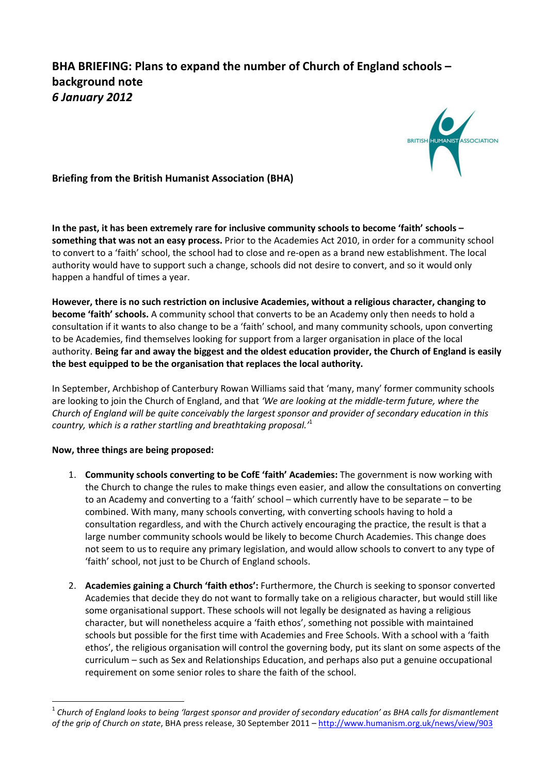## BHA BRIEFING: Plans to expand the number of Church of England schools – background note 6 January 2012



Briefing from the British Humanist Association (BHA)

In the past, it has been extremely rare for inclusive community schools to become 'faith' schools – something that was not an easy process. Prior to the Academies Act 2010, in order for a community school to convert to a 'faith' school, the school had to close and re-open as a brand new establishment. The local authority would have to support such a change, schools did not desire to convert, and so it would only happen a handful of times a year.

However, there is no such restriction on inclusive Academies, without a religious character, changing to become 'faith' schools. A community school that converts to be an Academy only then needs to hold a consultation if it wants to also change to be a 'faith' school, and many community schools, upon converting to be Academies, find themselves looking for support from a larger organisation in place of the local authority. Being far and away the biggest and the oldest education provider, the Church of England is easily the best equipped to be the organisation that replaces the local authority.

In September, Archbishop of Canterbury Rowan Williams said that 'many, many' former community schools are looking to join the Church of England, and that 'We are looking at the middle-term future, where the Church of England will be quite conceivably the largest sponsor and provider of secondary education in this country, which is a rather startling and breathtaking proposal. $^1$ 

## Now, three things are being proposed:

l

- 1. Community schools converting to be CofE 'faith' Academies: The government is now working with the Church to change the rules to make things even easier, and allow the consultations on converting to an Academy and converting to a 'faith' school – which currently have to be separate – to be combined. With many, many schools converting, with converting schools having to hold a consultation regardless, and with the Church actively encouraging the practice, the result is that a large number community schools would be likely to become Church Academies. This change does not seem to us to require any primary legislation, and would allow schools to convert to any type of 'faith' school, not just to be Church of England schools.
- 2. Academies gaining a Church 'faith ethos': Furthermore, the Church is seeking to sponsor converted Academies that decide they do not want to formally take on a religious character, but would still like some organisational support. These schools will not legally be designated as having a religious character, but will nonetheless acquire a 'faith ethos', something not possible with maintained schools but possible for the first time with Academies and Free Schools. With a school with a 'faith ethos', the religious organisation will control the governing body, put its slant on some aspects of the curriculum – such as Sex and Relationships Education, and perhaps also put a genuine occupational requirement on some senior roles to share the faith of the school.

<sup>1</sup> Church of England looks to being 'largest sponsor and provider of secondary education' as BHA calls for dismantlement of the grip of Church on state, BHA press release, 30 September 2011 – http://www.humanism.org.uk/news/view/903